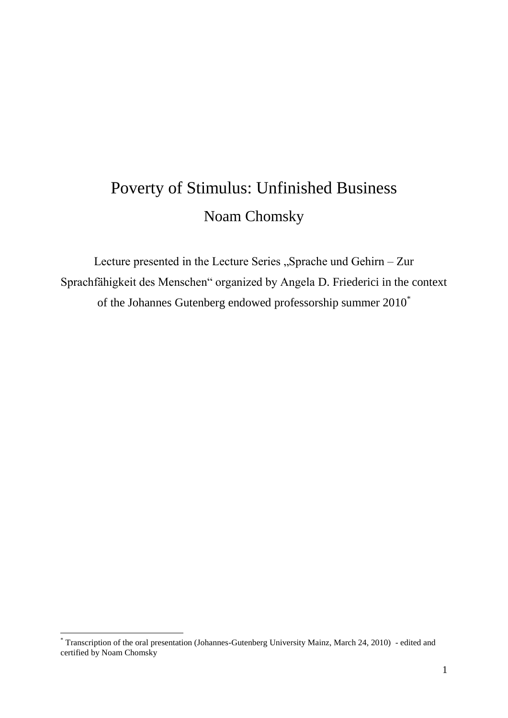## Poverty of Stimulus: Unfinished Business Noam Chomsky

Lecture presented in the Lecture Series "Sprache und Gehirn – Zur Sprachfähigkeit des Menschen" organized by Angela D. Friederici in the context of the Johannes Gutenberg endowed professorship summer 2010\*

 $\overline{a}$ 

<sup>\*</sup> Transcription of the oral presentation (Johannes-Gutenberg University Mainz, March 24, 2010) - edited and certified by Noam Chomsky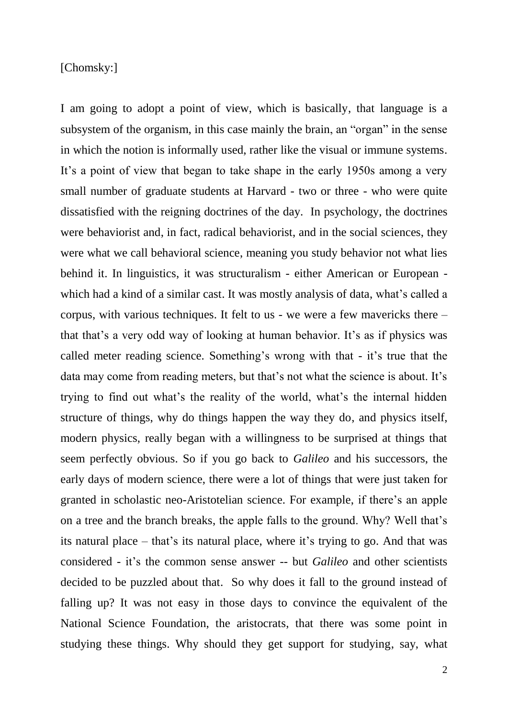## [Chomsky:]

I am going to adopt a point of view, which is basically, that language is a subsystem of the organism, in this case mainly the brain, an "organ" in the sense in which the notion is informally used, rather like the visual or immune systems. It's a point of view that began to take shape in the early 1950s among a very small number of graduate students at Harvard - two or three - who were quite dissatisfied with the reigning doctrines of the day. In psychology, the doctrines were behaviorist and, in fact, radical behaviorist, and in the social sciences, they were what we call behavioral science, meaning you study behavior not what lies behind it. In linguistics, it was structuralism - either American or European which had a kind of a similar cast. It was mostly analysis of data, what's called a corpus, with various techniques. It felt to us - we were a few mavericks there – that that"s a very odd way of looking at human behavior. It"s as if physics was called meter reading science. Something"s wrong with that - it"s true that the data may come from reading meters, but that's not what the science is about. It's trying to find out what"s the reality of the world, what"s the internal hidden structure of things, why do things happen the way they do, and physics itself, modern physics, really began with a willingness to be surprised at things that seem perfectly obvious. So if you go back to *Galileo* and his successors, the early days of modern science, there were a lot of things that were just taken for granted in scholastic neo-Aristotelian science. For example, if there"s an apple on a tree and the branch breaks, the apple falls to the ground. Why? Well that"s its natural place – that's its natural place, where it's trying to go. And that was considered - it"s the common sense answer -- but *Galileo* and other scientists decided to be puzzled about that. So why does it fall to the ground instead of falling up? It was not easy in those days to convince the equivalent of the National Science Foundation, the aristocrats, that there was some point in studying these things. Why should they get support for studying, say, what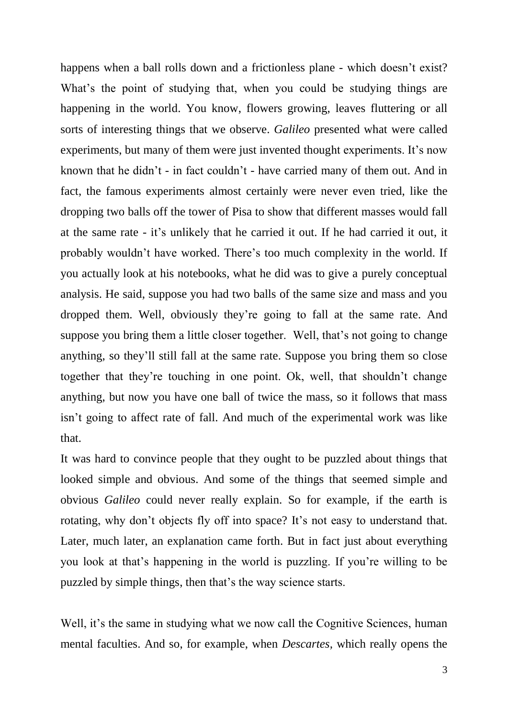happens when a ball rolls down and a frictionless plane - which doesn't exist? What's the point of studying that, when you could be studying things are happening in the world. You know, flowers growing, leaves fluttering or all sorts of interesting things that we observe. *Galileo* presented what were called experiments, but many of them were just invented thought experiments. It's now known that he didn"t - in fact couldn"t - have carried many of them out. And in fact, the famous experiments almost certainly were never even tried, like the dropping two balls off the tower of Pisa to show that different masses would fall at the same rate - it"s unlikely that he carried it out. If he had carried it out, it probably wouldn"t have worked. There"s too much complexity in the world. If you actually look at his notebooks, what he did was to give a purely conceptual analysis. He said, suppose you had two balls of the same size and mass and you dropped them. Well, obviously they"re going to fall at the same rate. And suppose you bring them a little closer together. Well, that's not going to change anything, so they"ll still fall at the same rate. Suppose you bring them so close together that they"re touching in one point. Ok, well, that shouldn"t change anything, but now you have one ball of twice the mass, so it follows that mass isn"t going to affect rate of fall. And much of the experimental work was like that.

It was hard to convince people that they ought to be puzzled about things that looked simple and obvious. And some of the things that seemed simple and obvious *Galileo* could never really explain. So for example, if the earth is rotating, why don't objects fly off into space? It's not easy to understand that. Later, much later, an explanation came forth. But in fact just about everything you look at that"s happening in the world is puzzling. If you"re willing to be puzzled by simple things, then that"s the way science starts.

Well, it's the same in studying what we now call the Cognitive Sciences, human mental faculties. And so, for example, when *Descartes,* which really opens the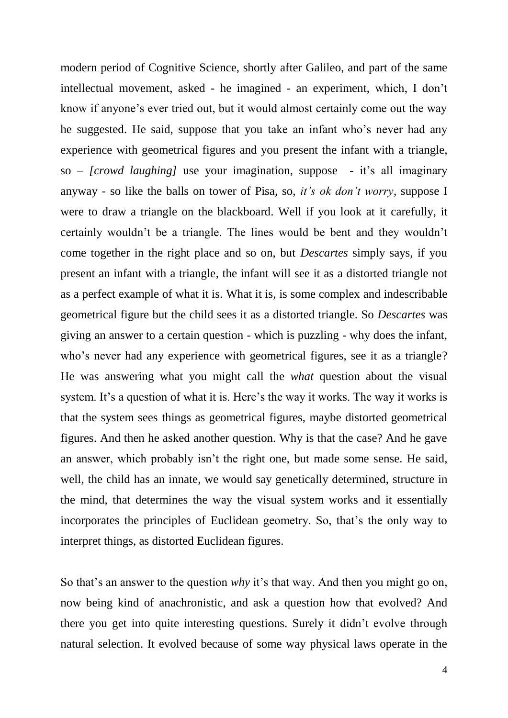modern period of Cognitive Science, shortly after Galileo, and part of the same intellectual movement, asked - he imagined - an experiment, which, I don"t know if anyone's ever tried out, but it would almost certainly come out the way he suggested. He said, suppose that you take an infant who"s never had any experience with geometrical figures and you present the infant with a triangle, so – *[crowd laughing]* use your imagination, suppose - it's all imaginary anyway - so like the balls on tower of Pisa, so, *it's ok don't worry*, suppose I were to draw a triangle on the blackboard. Well if you look at it carefully, it certainly wouldn"t be a triangle. The lines would be bent and they wouldn"t come together in the right place and so on, but *Descartes* simply says, if you present an infant with a triangle, the infant will see it as a distorted triangle not as a perfect example of what it is. What it is, is some complex and indescribable geometrical figure but the child sees it as a distorted triangle. So *Descartes* was giving an answer to a certain question - which is puzzling - why does the infant, who's never had any experience with geometrical figures, see it as a triangle? He was answering what you might call the *what* question about the visual system. It's a question of what it is. Here's the way it works. The way it works is that the system sees things as geometrical figures, maybe distorted geometrical figures. And then he asked another question. Why is that the case? And he gave an answer, which probably isn"t the right one, but made some sense. He said, well, the child has an innate, we would say genetically determined, structure in the mind, that determines the way the visual system works and it essentially incorporates the principles of Euclidean geometry. So, that's the only way to interpret things, as distorted Euclidean figures.

So that's an answer to the question *why* it's that way. And then you might go on, now being kind of anachronistic, and ask a question how that evolved? And there you get into quite interesting questions. Surely it didn"t evolve through natural selection. It evolved because of some way physical laws operate in the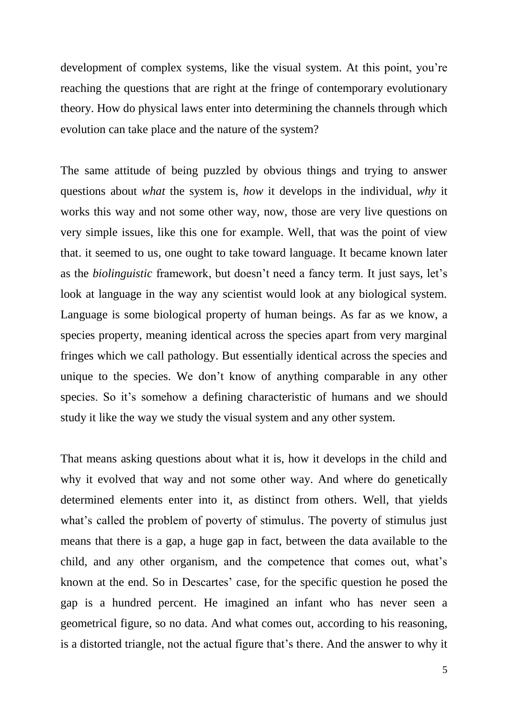development of complex systems, like the visual system. At this point, you"re reaching the questions that are right at the fringe of contemporary evolutionary theory. How do physical laws enter into determining the channels through which evolution can take place and the nature of the system?

The same attitude of being puzzled by obvious things and trying to answer questions about *what* the system is, *how* it develops in the individual, *why* it works this way and not some other way, now, those are very live questions on very simple issues, like this one for example. Well, that was the point of view that. it seemed to us, one ought to take toward language. It became known later as the *biolinguistic* framework, but doesn't need a fancy term. It just says, let's look at language in the way any scientist would look at any biological system. Language is some biological property of human beings. As far as we know, a species property, meaning identical across the species apart from very marginal fringes which we call pathology. But essentially identical across the species and unique to the species. We don't know of anything comparable in any other species. So it's somehow a defining characteristic of humans and we should study it like the way we study the visual system and any other system.

That means asking questions about what it is, how it develops in the child and why it evolved that way and not some other way. And where do genetically determined elements enter into it, as distinct from others. Well, that yields what's called the problem of poverty of stimulus. The poverty of stimulus just means that there is a gap, a huge gap in fact, between the data available to the child, and any other organism, and the competence that comes out, what"s known at the end. So in Descartes' case, for the specific question he posed the gap is a hundred percent. He imagined an infant who has never seen a geometrical figure, so no data. And what comes out, according to his reasoning, is a distorted triangle, not the actual figure that"s there. And the answer to why it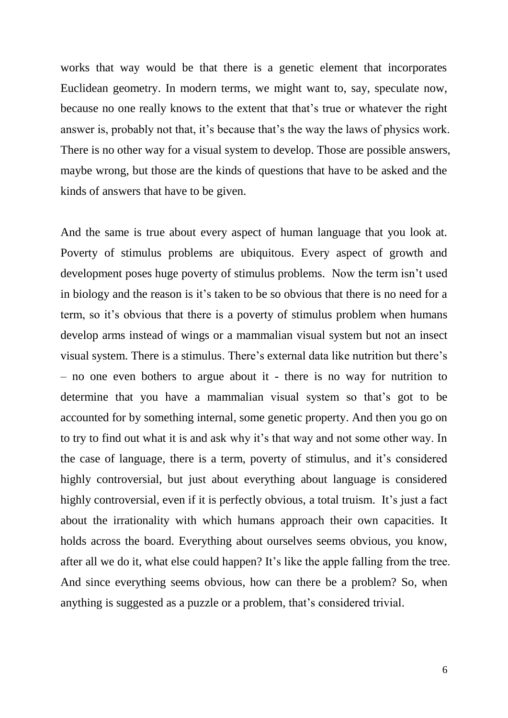works that way would be that there is a genetic element that incorporates Euclidean geometry. In modern terms, we might want to, say, speculate now, because no one really knows to the extent that that"s true or whatever the right answer is, probably not that, it's because that's the way the laws of physics work. There is no other way for a visual system to develop. Those are possible answers, maybe wrong, but those are the kinds of questions that have to be asked and the kinds of answers that have to be given.

And the same is true about every aspect of human language that you look at. Poverty of stimulus problems are ubiquitous. Every aspect of growth and development poses huge poverty of stimulus problems. Now the term isn"t used in biology and the reason is it's taken to be so obvious that there is no need for a term, so it's obvious that there is a poverty of stimulus problem when humans develop arms instead of wings or a mammalian visual system but not an insect visual system. There is a stimulus. There"s external data like nutrition but there"s – no one even bothers to argue about it - there is no way for nutrition to determine that you have a mammalian visual system so that"s got to be accounted for by something internal, some genetic property. And then you go on to try to find out what it is and ask why it's that way and not some other way. In the case of language, there is a term, poverty of stimulus, and it"s considered highly controversial, but just about everything about language is considered highly controversial, even if it is perfectly obvious, a total truism. It's just a fact about the irrationality with which humans approach their own capacities. It holds across the board. Everything about ourselves seems obvious, you know, after all we do it, what else could happen? It"s like the apple falling from the tree. And since everything seems obvious, how can there be a problem? So, when anything is suggested as a puzzle or a problem, that's considered trivial.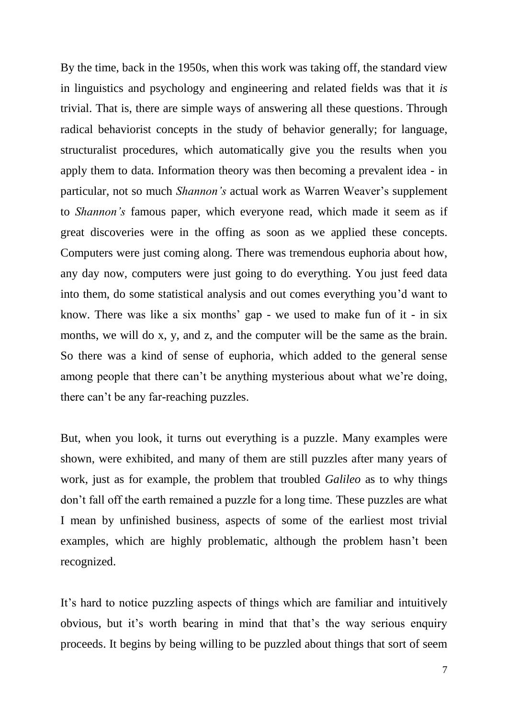By the time, back in the 1950s, when this work was taking off, the standard view in linguistics and psychology and engineering and related fields was that it *is* trivial. That is, there are simple ways of answering all these questions. Through radical behaviorist concepts in the study of behavior generally; for language, structuralist procedures, which automatically give you the results when you apply them to data. Information theory was then becoming a prevalent idea - in particular, not so much *Shannon's* actual work as Warren Weaver"s supplement to *Shannon's* famous paper, which everyone read, which made it seem as if great discoveries were in the offing as soon as we applied these concepts. Computers were just coming along. There was tremendous euphoria about how, any day now, computers were just going to do everything. You just feed data into them, do some statistical analysis and out comes everything you"d want to know. There was like a six months' gap - we used to make fun of it - in six months, we will do x, y, and z, and the computer will be the same as the brain. So there was a kind of sense of euphoria, which added to the general sense among people that there can't be anything mysterious about what we're doing, there can"t be any far-reaching puzzles.

But, when you look, it turns out everything is a puzzle. Many examples were shown, were exhibited, and many of them are still puzzles after many years of work, just as for example, the problem that troubled *Galileo* as to why things don"t fall off the earth remained a puzzle for a long time. These puzzles are what I mean by unfinished business, aspects of some of the earliest most trivial examples, which are highly problematic, although the problem hasn"t been recognized.

It's hard to notice puzzling aspects of things which are familiar and intuitively obvious, but it"s worth bearing in mind that that"s the way serious enquiry proceeds. It begins by being willing to be puzzled about things that sort of seem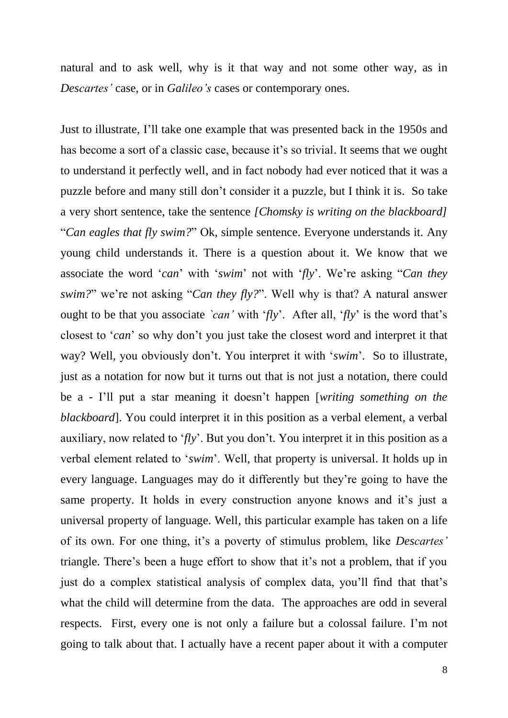natural and to ask well, why is it that way and not some other way, as in *Descartes'* case, or in *Galileo's* cases or contemporary ones.

Just to illustrate, I"ll take one example that was presented back in the 1950s and has become a sort of a classic case, because it's so trivial. It seems that we ought to understand it perfectly well, and in fact nobody had ever noticed that it was a puzzle before and many still don"t consider it a puzzle, but I think it is. So take a very short sentence, take the sentence *[Chomsky is writing on the blackboard]* "*Can eagles that fly swim?*" Ok, simple sentence. Everyone understands it. Any young child understands it. There is a question about it. We know that we associate the word "*can*" with "*swim*" not with "*fly*". We"re asking "*Can they swim?*" we're not asking "*Can they fly?*". Well why is that? A natural answer ought to be that you associate *`can'* with '*fly*'. After all, '*fly*' is the word that's closest to "*can*" so why don"t you just take the closest word and interpret it that way? Well, you obviously don't. You interpret it with 'swim'. So to illustrate, just as a notation for now but it turns out that is not just a notation, there could be a - I"ll put a star meaning it doesn"t happen [*writing something on the blackboard*]. You could interpret it in this position as a verbal element, a verbal auxiliary, now related to 'fly'. But you don't. You interpret it in this position as a verbal element related to "*swim*". Well, that property is universal. It holds up in every language. Languages may do it differently but they"re going to have the same property. It holds in every construction anyone knows and it's just a universal property of language. Well, this particular example has taken on a life of its own. For one thing, it"s a poverty of stimulus problem, like *Descartes'* triangle. There's been a huge effort to show that it's not a problem, that if you just do a complex statistical analysis of complex data, you'll find that that's what the child will determine from the data. The approaches are odd in several respects. First, every one is not only a failure but a colossal failure. I'm not going to talk about that. I actually have a recent paper about it with a computer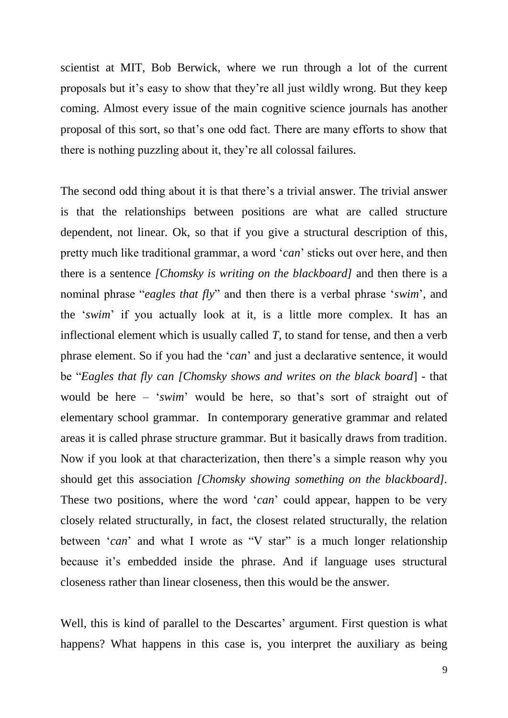scientist at MIT, Bob Berwick, where we run through a lot of the current proposals but it"s easy to show that they"re all just wildly wrong. But they keep coming. Almost every issue of the main cognitive science journals has another proposal of this sort, so that"s one odd fact. There are many efforts to show that there is nothing puzzling about it, they"re all colossal failures.

The second odd thing about it is that there's a trivial answer. The trivial answer is that the relationships between positions are what are called structure dependent, not linear. Ok, so that if you give a structural description of this, pretty much like traditional grammar, a word "*can*" sticks out over here, and then there is a sentence *[Chomsky is writing on the blackboard]* and then there is a nominal phrase "*eagles that fly*" and then there is a verbal phrase "*swim*", and the "*swim*" if you actually look at it, is a little more complex. It has an inflectional element which is usually called *T*, to stand for tense, and then a verb phrase element. So if you had the "*can*" and just a declarative sentence, it would be "*Eagles that fly can [Chomsky shows and writes on the black board*] *-* that would be here – "*swim*" would be here, so that"s sort of straight out of elementary school grammar. In contemporary generative grammar and related areas it is called phrase structure grammar. But it basically draws from tradition. Now if you look at that characterization, then there"s a simple reason why you should get this association *[Chomsky showing something on the blackboard].* These two positions, where the word '*can*' could appear, happen to be very closely related structurally, in fact, the closest related structurally, the relation between '*can*' and what I wrote as "V star" is a much longer relationship because it's embedded inside the phrase. And if language uses structural closeness rather than linear closeness, then this would be the answer.

Well, this is kind of parallel to the Descartes' argument. First question is what happens? What happens in this case is, you interpret the auxiliary as being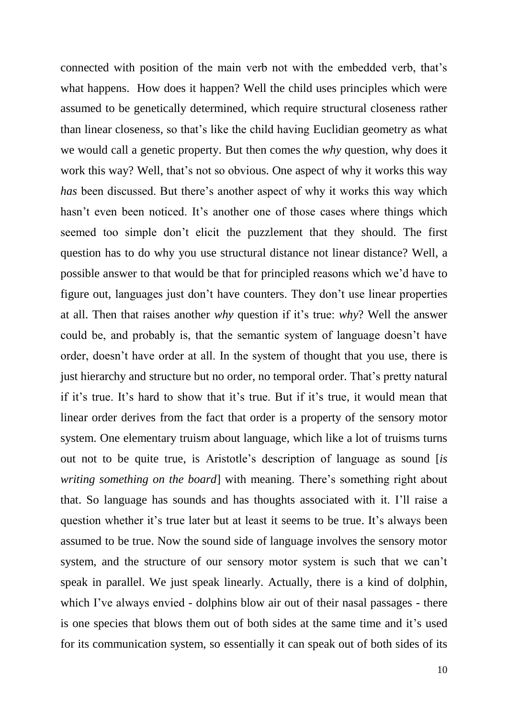connected with position of the main verb not with the embedded verb, that's what happens. How does it happen? Well the child uses principles which were assumed to be genetically determined, which require structural closeness rather than linear closeness, so that"s like the child having Euclidian geometry as what we would call a genetic property. But then comes the *why* question, why does it work this way? Well, that's not so obvious. One aspect of why it works this way *has* been discussed. But there's another aspect of why it works this way which hasn't even been noticed. It's another one of those cases where things which seemed too simple don"t elicit the puzzlement that they should. The first question has to do why you use structural distance not linear distance? Well, a possible answer to that would be that for principled reasons which we"d have to figure out, languages just don"t have counters. They don"t use linear properties at all. Then that raises another *why* question if it"s true: *why*? Well the answer could be, and probably is, that the semantic system of language doesn"t have order, doesn"t have order at all. In the system of thought that you use, there is just hierarchy and structure but no order, no temporal order. That's pretty natural if it"s true. It"s hard to show that it"s true. But if it"s true, it would mean that linear order derives from the fact that order is a property of the sensory motor system. One elementary truism about language, which like a lot of truisms turns out not to be quite true, is Aristotle"s description of language as sound [*is writing something on the board* with meaning. There's something right about that. So language has sounds and has thoughts associated with it. I"ll raise a question whether it's true later but at least it seems to be true. It's always been assumed to be true. Now the sound side of language involves the sensory motor system, and the structure of our sensory motor system is such that we can"t speak in parallel. We just speak linearly. Actually, there is a kind of dolphin, which I've always envied - dolphins blow air out of their nasal passages - there is one species that blows them out of both sides at the same time and it"s used for its communication system, so essentially it can speak out of both sides of its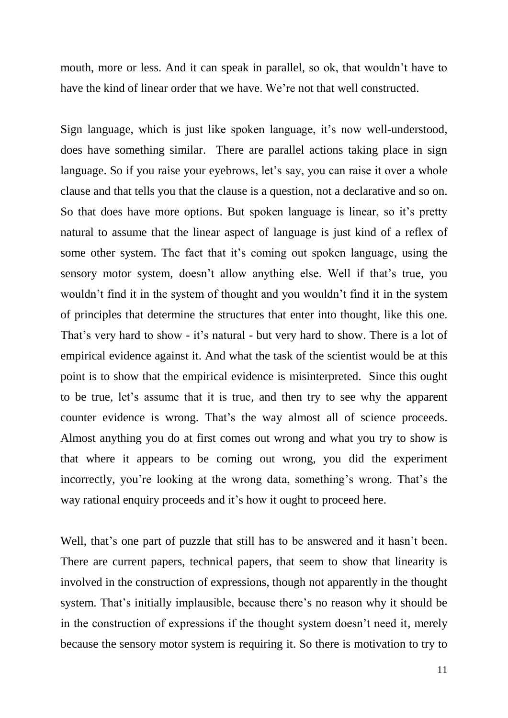mouth, more or less. And it can speak in parallel, so ok, that wouldn't have to have the kind of linear order that we have. We're not that well constructed.

Sign language, which is just like spoken language, it's now well-understood, does have something similar. There are parallel actions taking place in sign language. So if you raise your eyebrows, let's say, you can raise it over a whole clause and that tells you that the clause is a question, not a declarative and so on. So that does have more options. But spoken language is linear, so it's pretty natural to assume that the linear aspect of language is just kind of a reflex of some other system. The fact that it's coming out spoken language, using the sensory motor system, doesn't allow anything else. Well if that's true, you wouldn"t find it in the system of thought and you wouldn"t find it in the system of principles that determine the structures that enter into thought, like this one. That's very hard to show - it's natural - but very hard to show. There is a lot of empirical evidence against it. And what the task of the scientist would be at this point is to show that the empirical evidence is misinterpreted. Since this ought to be true, let"s assume that it is true, and then try to see why the apparent counter evidence is wrong. That"s the way almost all of science proceeds. Almost anything you do at first comes out wrong and what you try to show is that where it appears to be coming out wrong, you did the experiment incorrectly, you're looking at the wrong data, something's wrong. That's the way rational enquiry proceeds and it's how it ought to proceed here.

Well, that's one part of puzzle that still has to be answered and it hasn't been. There are current papers, technical papers, that seem to show that linearity is involved in the construction of expressions, though not apparently in the thought system. That's initially implausible, because there's no reason why it should be in the construction of expressions if the thought system doesn"t need it, merely because the sensory motor system is requiring it. So there is motivation to try to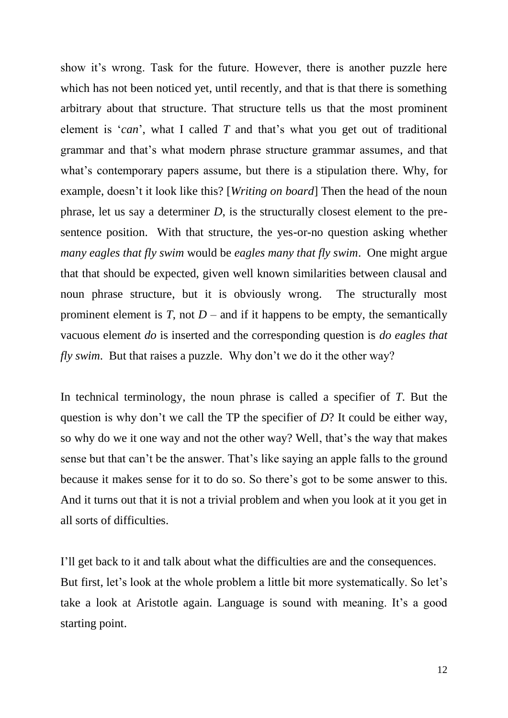show it's wrong. Task for the future. However, there is another puzzle here which has not been noticed yet, until recently, and that is that there is something arbitrary about that structure. That structure tells us that the most prominent element is "*can*", what I called *T* and that"s what you get out of traditional grammar and that"s what modern phrase structure grammar assumes, and that what's contemporary papers assume, but there is a stipulation there. Why, for example, doesn"t it look like this? [*Writing on board*] Then the head of the noun phrase, let us say a determiner *D*, is the structurally closest element to the presentence position. With that structure, the yes-or-no question asking whether *many eagles that fly swim* would be *eagles many that fly swim*. One might argue that that should be expected, given well known similarities between clausal and noun phrase structure, but it is obviously wrong. The structurally most prominent element is  $T$ , not  $D$  – and if it happens to be empty, the semantically vacuous element *do* is inserted and the corresponding question is *do eagles that fly swim*. But that raises a puzzle. Why don't we do it the other way?

In technical terminology, the noun phrase is called a specifier of *T*. But the question is why don"t we call the TP the specifier of *D*? It could be either way, so why do we it one way and not the other way? Well, that"s the way that makes sense but that can't be the answer. That's like saying an apple falls to the ground because it makes sense for it to do so. So there"s got to be some answer to this. And it turns out that it is not a trivial problem and when you look at it you get in all sorts of difficulties.

I"ll get back to it and talk about what the difficulties are and the consequences. But first, let's look at the whole problem a little bit more systematically. So let's take a look at Aristotle again. Language is sound with meaning. It's a good starting point.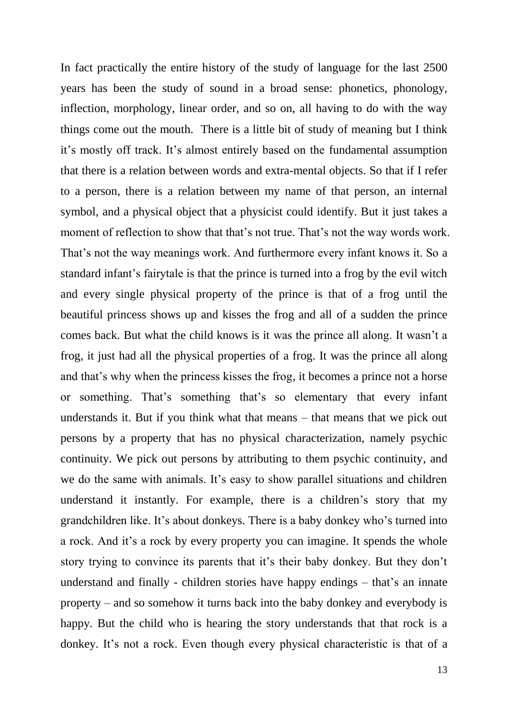In fact practically the entire history of the study of language for the last 2500 years has been the study of sound in a broad sense: phonetics, phonology, inflection, morphology, linear order, and so on, all having to do with the way things come out the mouth. There is a little bit of study of meaning but I think it"s mostly off track. It"s almost entirely based on the fundamental assumption that there is a relation between words and extra-mental objects. So that if I refer to a person, there is a relation between my name of that person, an internal symbol, and a physical object that a physicist could identify. But it just takes a moment of reflection to show that that's not true. That's not the way words work. That's not the way meanings work. And furthermore every infant knows it. So a standard infant's fairytale is that the prince is turned into a frog by the evil witch and every single physical property of the prince is that of a frog until the beautiful princess shows up and kisses the frog and all of a sudden the prince comes back. But what the child knows is it was the prince all along. It wasn"t a frog, it just had all the physical properties of a frog. It was the prince all along and that"s why when the princess kisses the frog, it becomes a prince not a horse or something. That"s something that"s so elementary that every infant understands it. But if you think what that means – that means that we pick out persons by a property that has no physical characterization, namely psychic continuity. We pick out persons by attributing to them psychic continuity, and we do the same with animals. It's easy to show parallel situations and children understand it instantly. For example, there is a children"s story that my grandchildren like. It's about donkeys. There is a baby donkey who's turned into a rock. And it's a rock by every property you can imagine. It spends the whole story trying to convince its parents that it's their baby donkey. But they don't understand and finally - children stories have happy endings  $-$  that's an innate property – and so somehow it turns back into the baby donkey and everybody is happy. But the child who is hearing the story understands that that rock is a donkey. It's not a rock. Even though every physical characteristic is that of a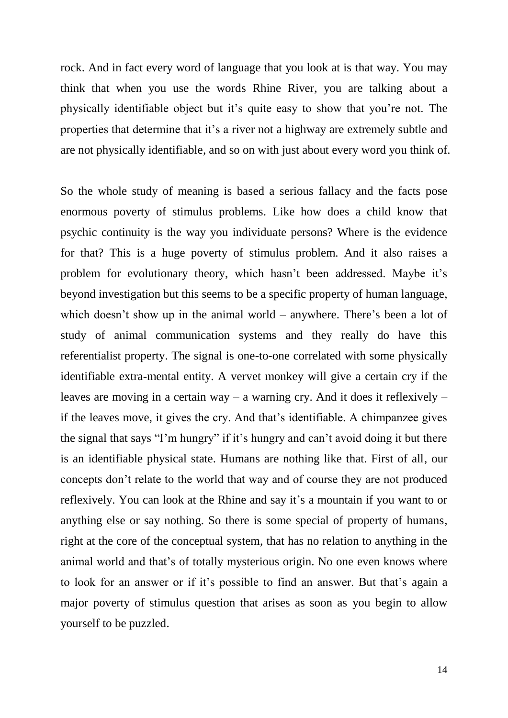rock. And in fact every word of language that you look at is that way. You may think that when you use the words Rhine River, you are talking about a physically identifiable object but it"s quite easy to show that you"re not. The properties that determine that it's a river not a highway are extremely subtle and are not physically identifiable, and so on with just about every word you think of.

So the whole study of meaning is based a serious fallacy and the facts pose enormous poverty of stimulus problems. Like how does a child know that psychic continuity is the way you individuate persons? Where is the evidence for that? This is a huge poverty of stimulus problem. And it also raises a problem for evolutionary theory, which hasn't been addressed. Maybe it's beyond investigation but this seems to be a specific property of human language, which doesn't show up in the animal world – anywhere. There's been a lot of study of animal communication systems and they really do have this referentialist property. The signal is one-to-one correlated with some physically identifiable extra-mental entity. A vervet monkey will give a certain cry if the leaves are moving in a certain way – a warning cry. And it does it reflexively – if the leaves move, it gives the cry. And that"s identifiable. A chimpanzee gives the signal that says "I"m hungry" if it"s hungry and can"t avoid doing it but there is an identifiable physical state. Humans are nothing like that. First of all, our concepts don"t relate to the world that way and of course they are not produced reflexively. You can look at the Rhine and say it's a mountain if you want to or anything else or say nothing. So there is some special of property of humans, right at the core of the conceptual system, that has no relation to anything in the animal world and that's of totally mysterious origin. No one even knows where to look for an answer or if it's possible to find an answer. But that's again a major poverty of stimulus question that arises as soon as you begin to allow yourself to be puzzled.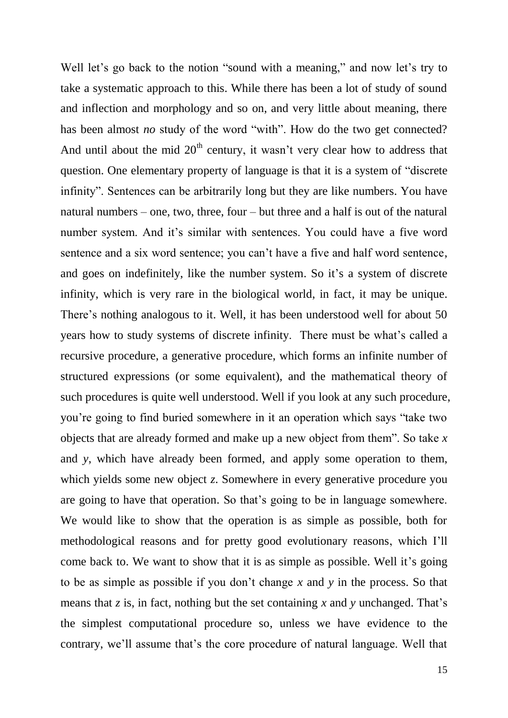Well let's go back to the notion "sound with a meaning," and now let's try to take a systematic approach to this. While there has been a lot of study of sound and inflection and morphology and so on, and very little about meaning, there has been almost *no* study of the word "with". How do the two get connected? And until about the mid  $20<sup>th</sup>$  century, it wasn't very clear how to address that question. One elementary property of language is that it is a system of "discrete infinity". Sentences can be arbitrarily long but they are like numbers. You have natural numbers – one, two, three, four – but three and a half is out of the natural number system. And it's similar with sentences. You could have a five word sentence and a six word sentence; you can"t have a five and half word sentence, and goes on indefinitely, like the number system. So it's a system of discrete infinity, which is very rare in the biological world, in fact, it may be unique. There's nothing analogous to it. Well, it has been understood well for about 50 years how to study systems of discrete infinity. There must be what"s called a recursive procedure, a generative procedure, which forms an infinite number of structured expressions (or some equivalent), and the mathematical theory of such procedures is quite well understood. Well if you look at any such procedure, you"re going to find buried somewhere in it an operation which says "take two objects that are already formed and make up a new object from them". So take *x* and *y*, which have already been formed, and apply some operation to them, which yields some new object *z*. Somewhere in every generative procedure you are going to have that operation. So that"s going to be in language somewhere. We would like to show that the operation is as simple as possible, both for methodological reasons and for pretty good evolutionary reasons, which I"ll come back to. We want to show that it is as simple as possible. Well it's going to be as simple as possible if you don"t change *x* and *y* in the process. So that means that  $z$  is, in fact, nothing but the set containing  $x$  and  $y$  unchanged. That's the simplest computational procedure so, unless we have evidence to the contrary, we"ll assume that"s the core procedure of natural language. Well that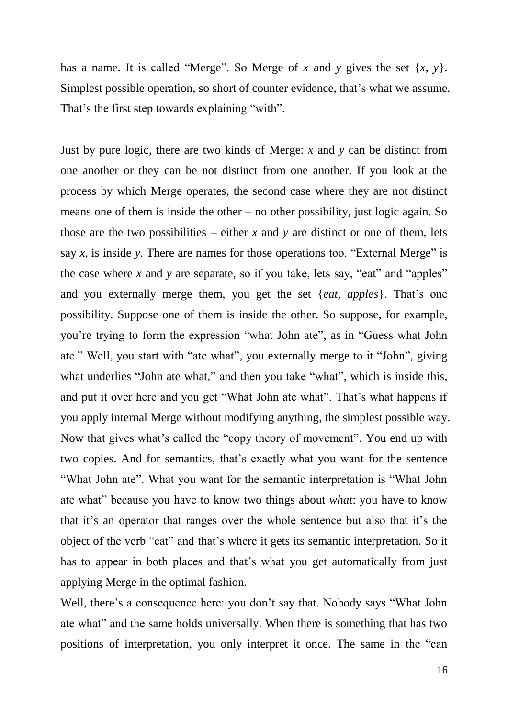has a name. It is called "Merge". So Merge of *x* and *y* gives the set {*x*, *y*}. Simplest possible operation, so short of counter evidence, that"s what we assume. That's the first step towards explaining "with".

Just by pure logic, there are two kinds of Merge: *x* and *y* can be distinct from one another or they can be not distinct from one another. If you look at the process by which Merge operates, the second case where they are not distinct means one of them is inside the other – no other possibility, just logic again. So those are the two possibilities – either  $x$  and  $y$  are distinct or one of them, lets say *x*, is inside *y*. There are names for those operations too. "External Merge" is the case where *x* and *y* are separate, so if you take, lets say, "eat" and "apples" and you externally merge them, you get the set {*eat*, *apples*}. That's one possibility. Suppose one of them is inside the other. So suppose, for example, you"re trying to form the expression "what John ate", as in "Guess what John ate." Well, you start with "ate what", you externally merge to it "John", giving what underlies "John ate what," and then you take "what", which is inside this, and put it over here and you get "What John ate what". That's what happens if you apply internal Merge without modifying anything, the simplest possible way. Now that gives what"s called the "copy theory of movement". You end up with two copies. And for semantics, that's exactly what you want for the sentence "What John ate". What you want for the semantic interpretation is "What John ate what" because you have to know two things about *what*: you have to know that it's an operator that ranges over the whole sentence but also that it's the object of the verb "eat" and that"s where it gets its semantic interpretation. So it has to appear in both places and that's what you get automatically from just applying Merge in the optimal fashion.

Well, there's a consequence here: you don't say that. Nobody says "What John ate what" and the same holds universally. When there is something that has two positions of interpretation, you only interpret it once. The same in the "can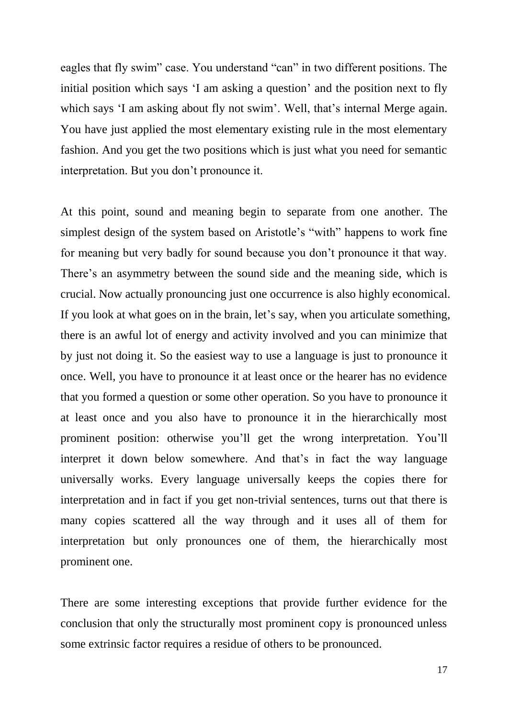eagles that fly swim" case. You understand "can" in two different positions. The initial position which says 'I am asking a question' and the position next to fly which says 'I am asking about fly not swim'. Well, that's internal Merge again. You have just applied the most elementary existing rule in the most elementary fashion. And you get the two positions which is just what you need for semantic interpretation. But you don"t pronounce it.

At this point, sound and meaning begin to separate from one another. The simplest design of the system based on Aristotle's "with" happens to work fine for meaning but very badly for sound because you don"t pronounce it that way. There's an asymmetry between the sound side and the meaning side, which is crucial. Now actually pronouncing just one occurrence is also highly economical. If you look at what goes on in the brain, let's say, when you articulate something, there is an awful lot of energy and activity involved and you can minimize that by just not doing it. So the easiest way to use a language is just to pronounce it once. Well, you have to pronounce it at least once or the hearer has no evidence that you formed a question or some other operation. So you have to pronounce it at least once and you also have to pronounce it in the hierarchically most prominent position: otherwise you"ll get the wrong interpretation. You"ll interpret it down below somewhere. And that's in fact the way language universally works. Every language universally keeps the copies there for interpretation and in fact if you get non-trivial sentences, turns out that there is many copies scattered all the way through and it uses all of them for interpretation but only pronounces one of them, the hierarchically most prominent one.

There are some interesting exceptions that provide further evidence for the conclusion that only the structurally most prominent copy is pronounced unless some extrinsic factor requires a residue of others to be pronounced.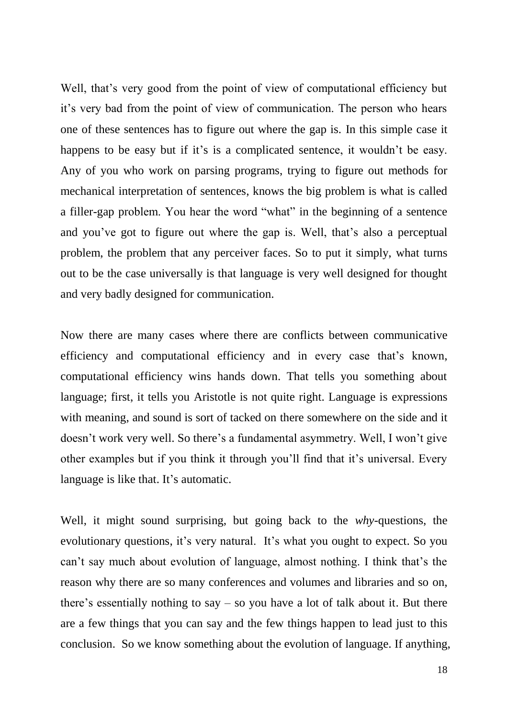Well, that's very good from the point of view of computational efficiency but it"s very bad from the point of view of communication. The person who hears one of these sentences has to figure out where the gap is. In this simple case it happens to be easy but if it's is a complicated sentence, it wouldn't be easy. Any of you who work on parsing programs, trying to figure out methods for mechanical interpretation of sentences, knows the big problem is what is called a filler-gap problem. You hear the word "what" in the beginning of a sentence and you've got to figure out where the gap is. Well, that's also a perceptual problem, the problem that any perceiver faces. So to put it simply, what turns out to be the case universally is that language is very well designed for thought and very badly designed for communication.

Now there are many cases where there are conflicts between communicative efficiency and computational efficiency and in every case that"s known, computational efficiency wins hands down. That tells you something about language; first, it tells you Aristotle is not quite right. Language is expressions with meaning, and sound is sort of tacked on there somewhere on the side and it doesn't work very well. So there's a fundamental asymmetry. Well, I won't give other examples but if you think it through you"ll find that it"s universal. Every language is like that. It's automatic.

Well, it might sound surprising, but going back to the *why*-questions, the evolutionary questions, it's very natural. It's what you ought to expect. So you can"t say much about evolution of language, almost nothing. I think that"s the reason why there are so many conferences and volumes and libraries and so on, there's essentially nothing to say  $-$  so you have a lot of talk about it. But there are a few things that you can say and the few things happen to lead just to this conclusion. So we know something about the evolution of language. If anything,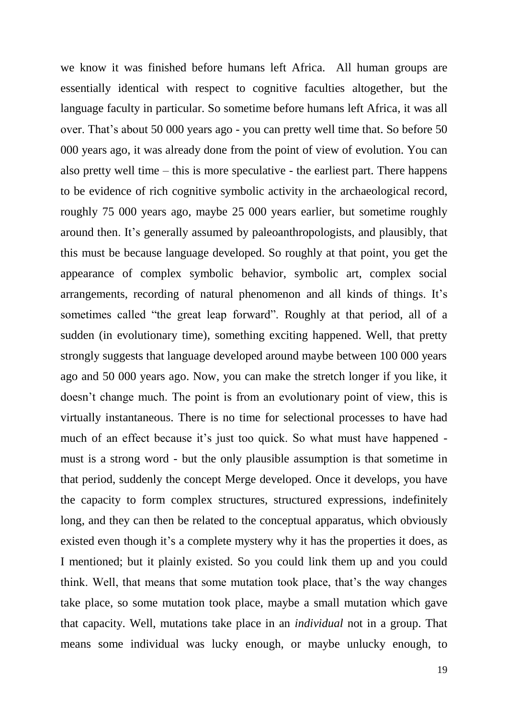we know it was finished before humans left Africa. All human groups are essentially identical with respect to cognitive faculties altogether, but the language faculty in particular. So sometime before humans left Africa, it was all over. That"s about 50 000 years ago - you can pretty well time that. So before 50 000 years ago, it was already done from the point of view of evolution. You can also pretty well time – this is more speculative - the earliest part. There happens to be evidence of rich cognitive symbolic activity in the archaeological record, roughly 75 000 years ago, maybe 25 000 years earlier, but sometime roughly around then. It's generally assumed by paleoanthropologists, and plausibly, that this must be because language developed. So roughly at that point, you get the appearance of complex symbolic behavior, symbolic art, complex social arrangements, recording of natural phenomenon and all kinds of things. It's sometimes called "the great leap forward". Roughly at that period, all of a sudden (in evolutionary time), something exciting happened. Well, that pretty strongly suggests that language developed around maybe between 100 000 years ago and 50 000 years ago. Now, you can make the stretch longer if you like, it doesn"t change much. The point is from an evolutionary point of view, this is virtually instantaneous. There is no time for selectional processes to have had much of an effect because it's just too quick. So what must have happened must is a strong word - but the only plausible assumption is that sometime in that period, suddenly the concept Merge developed. Once it develops, you have the capacity to form complex structures, structured expressions, indefinitely long, and they can then be related to the conceptual apparatus, which obviously existed even though it's a complete mystery why it has the properties it does, as I mentioned; but it plainly existed. So you could link them up and you could think. Well, that means that some mutation took place, that"s the way changes take place, so some mutation took place, maybe a small mutation which gave that capacity. Well, mutations take place in an *individual* not in a group. That means some individual was lucky enough, or maybe unlucky enough, to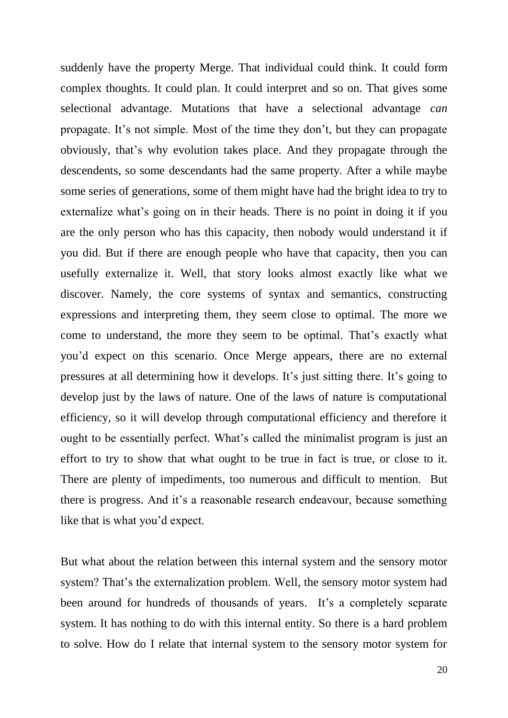suddenly have the property Merge. That individual could think. It could form complex thoughts. It could plan. It could interpret and so on. That gives some selectional advantage. Mutations that have a selectional advantage *can* propagate. It's not simple. Most of the time they don't, but they can propagate obviously, that"s why evolution takes place. And they propagate through the descendents, so some descendants had the same property. After a while maybe some series of generations, some of them might have had the bright idea to try to externalize what's going on in their heads. There is no point in doing it if you are the only person who has this capacity, then nobody would understand it if you did. But if there are enough people who have that capacity, then you can usefully externalize it. Well, that story looks almost exactly like what we discover. Namely, the core systems of syntax and semantics, constructing expressions and interpreting them, they seem close to optimal. The more we come to understand, the more they seem to be optimal. That"s exactly what you"d expect on this scenario. Once Merge appears, there are no external pressures at all determining how it develops. It's just sitting there. It's going to develop just by the laws of nature. One of the laws of nature is computational efficiency, so it will develop through computational efficiency and therefore it ought to be essentially perfect. What"s called the minimalist program is just an effort to try to show that what ought to be true in fact is true, or close to it. There are plenty of impediments, too numerous and difficult to mention. But there is progress. And it's a reasonable research endeavour, because something like that is what you"d expect.

But what about the relation between this internal system and the sensory motor system? That's the externalization problem. Well, the sensory motor system had been around for hundreds of thousands of years. It's a completely separate system. It has nothing to do with this internal entity. So there is a hard problem to solve. How do I relate that internal system to the sensory motor system for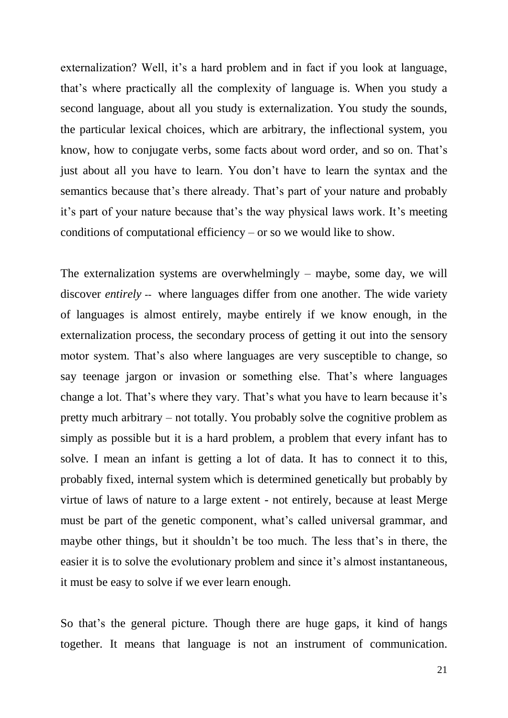externalization? Well, it's a hard problem and in fact if you look at language, that"s where practically all the complexity of language is. When you study a second language, about all you study is externalization. You study the sounds, the particular lexical choices, which are arbitrary, the inflectional system, you know, how to conjugate verbs, some facts about word order, and so on. That"s just about all you have to learn. You don"t have to learn the syntax and the semantics because that's there already. That's part of your nature and probably it's part of your nature because that's the way physical laws work. It's meeting conditions of computational efficiency – or so we would like to show.

The externalization systems are overwhelmingly – maybe, some day, we will discover *entirely* -- where languages differ from one another. The wide variety of languages is almost entirely, maybe entirely if we know enough, in the externalization process, the secondary process of getting it out into the sensory motor system. That"s also where languages are very susceptible to change, so say teenage jargon or invasion or something else. That's where languages change a lot. That's where they vary. That's what you have to learn because it's pretty much arbitrary – not totally. You probably solve the cognitive problem as simply as possible but it is a hard problem, a problem that every infant has to solve. I mean an infant is getting a lot of data. It has to connect it to this, probably fixed, internal system which is determined genetically but probably by virtue of laws of nature to a large extent - not entirely, because at least Merge must be part of the genetic component, what's called universal grammar, and maybe other things, but it shouldn't be too much. The less that's in there, the easier it is to solve the evolutionary problem and since it's almost instantaneous, it must be easy to solve if we ever learn enough.

So that's the general picture. Though there are huge gaps, it kind of hangs together. It means that language is not an instrument of communication.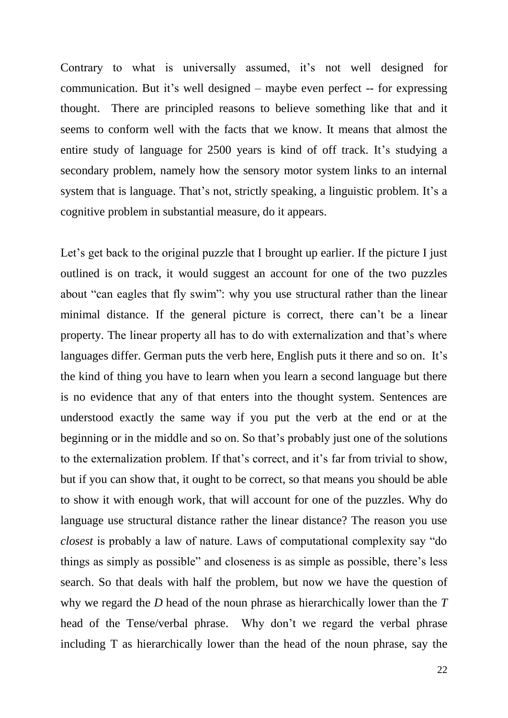Contrary to what is universally assumed, it's not well designed for communication. But it's well designed – maybe even perfect -- for expressing thought. There are principled reasons to believe something like that and it seems to conform well with the facts that we know. It means that almost the entire study of language for 2500 years is kind of off track. It's studying a secondary problem, namely how the sensory motor system links to an internal system that is language. That's not, strictly speaking, a linguistic problem. It's a cognitive problem in substantial measure, do it appears.

Let's get back to the original puzzle that I brought up earlier. If the picture I just outlined is on track, it would suggest an account for one of the two puzzles about "can eagles that fly swim": why you use structural rather than the linear minimal distance. If the general picture is correct, there can't be a linear property. The linear property all has to do with externalization and that"s where languages differ. German puts the verb here, English puts it there and so on. It's the kind of thing you have to learn when you learn a second language but there is no evidence that any of that enters into the thought system. Sentences are understood exactly the same way if you put the verb at the end or at the beginning or in the middle and so on. So that"s probably just one of the solutions to the externalization problem. If that's correct, and it's far from trivial to show, but if you can show that, it ought to be correct, so that means you should be able to show it with enough work, that will account for one of the puzzles. Why do language use structural distance rather the linear distance? The reason you use *closest* is probably a law of nature. Laws of computational complexity say "do things as simply as possible" and closeness is as simple as possible, there"s less search. So that deals with half the problem, but now we have the question of why we regard the *D* head of the noun phrase as hierarchically lower than the *T*  head of the Tense/verbal phrase. Why don't we regard the verbal phrase including T as hierarchically lower than the head of the noun phrase, say the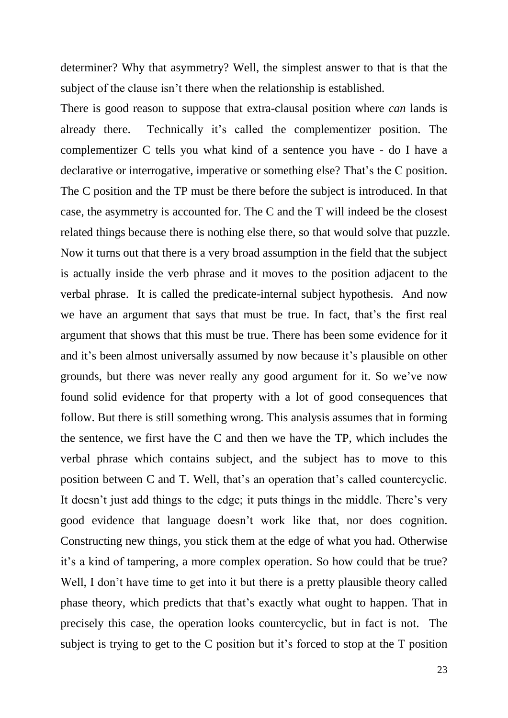determiner? Why that asymmetry? Well, the simplest answer to that is that the subject of the clause isn"t there when the relationship is established.

There is good reason to suppose that extra-clausal position where *can* lands is already there. Technically it"s called the complementizer position. The complementizer C tells you what kind of a sentence you have - do I have a declarative or interrogative, imperative or something else? That's the C position. The C position and the TP must be there before the subject is introduced. In that case, the asymmetry is accounted for. The C and the T will indeed be the closest related things because there is nothing else there, so that would solve that puzzle. Now it turns out that there is a very broad assumption in the field that the subject is actually inside the verb phrase and it moves to the position adjacent to the verbal phrase. It is called the predicate-internal subject hypothesis. And now we have an argument that says that must be true. In fact, that's the first real argument that shows that this must be true. There has been some evidence for it and it's been almost universally assumed by now because it's plausible on other grounds, but there was never really any good argument for it. So we"ve now found solid evidence for that property with a lot of good consequences that follow. But there is still something wrong. This analysis assumes that in forming the sentence, we first have the C and then we have the TP, which includes the verbal phrase which contains subject, and the subject has to move to this position between C and T. Well, that"s an operation that"s called countercyclic. It doesn't just add things to the edge; it puts things in the middle. There's very good evidence that language doesn"t work like that, nor does cognition. Constructing new things, you stick them at the edge of what you had. Otherwise it"s a kind of tampering, a more complex operation. So how could that be true? Well, I don't have time to get into it but there is a pretty plausible theory called phase theory, which predicts that that"s exactly what ought to happen. That in precisely this case, the operation looks countercyclic, but in fact is not. The subject is trying to get to the C position but it's forced to stop at the T position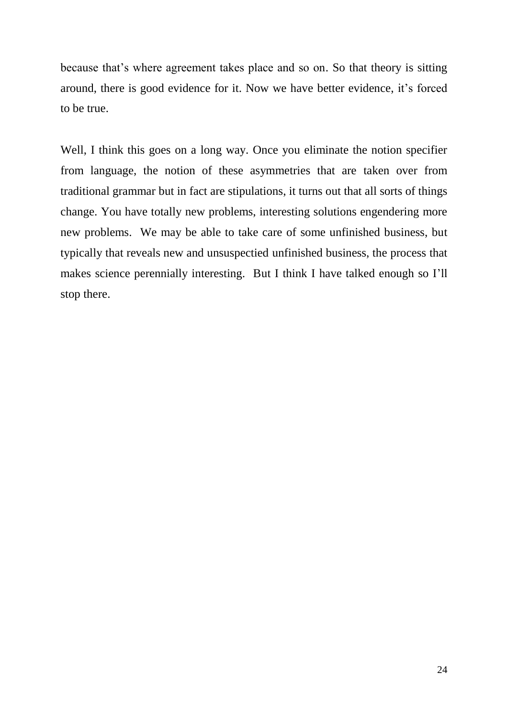because that"s where agreement takes place and so on. So that theory is sitting around, there is good evidence for it. Now we have better evidence, it"s forced to be true.

Well, I think this goes on a long way. Once you eliminate the notion specifier from language, the notion of these asymmetries that are taken over from traditional grammar but in fact are stipulations, it turns out that all sorts of things change. You have totally new problems, interesting solutions engendering more new problems. We may be able to take care of some unfinished business, but typically that reveals new and unsuspectied unfinished business, the process that makes science perennially interesting. But I think I have talked enough so I"ll stop there.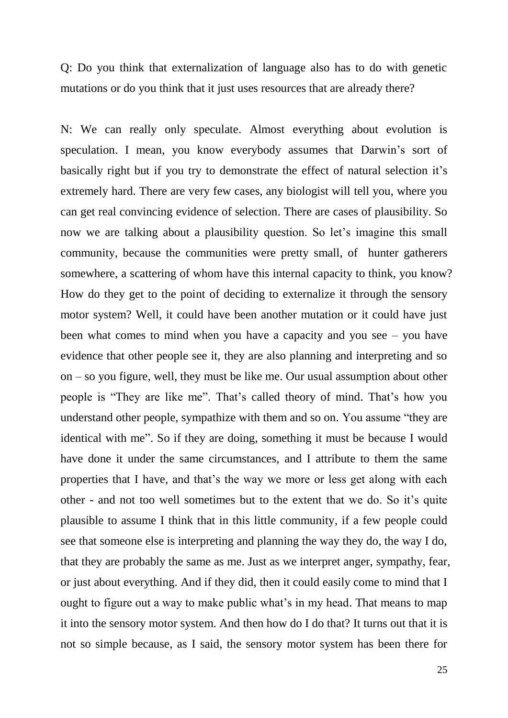Q: Do you think that externalization of language also has to do with genetic mutations or do you think that it just uses resources that are already there?

N: We can really only speculate. Almost everything about evolution is speculation. I mean, you know everybody assumes that Darwin's sort of basically right but if you try to demonstrate the effect of natural selection it's extremely hard. There are very few cases, any biologist will tell you, where you can get real convincing evidence of selection. There are cases of plausibility. So now we are talking about a plausibility question. So let's imagine this small community, because the communities were pretty small, of hunter gatherers somewhere, a scattering of whom have this internal capacity to think, you know? How do they get to the point of deciding to externalize it through the sensory motor system? Well, it could have been another mutation or it could have just been what comes to mind when you have a capacity and you see – you have evidence that other people see it, they are also planning and interpreting and so on – so you figure, well, they must be like me. Our usual assumption about other people is "They are like me". That"s called theory of mind. That"s how you understand other people, sympathize with them and so on. You assume "they are identical with me". So if they are doing, something it must be because I would have done it under the same circumstances, and I attribute to them the same properties that I have, and that"s the way we more or less get along with each other - and not too well sometimes but to the extent that we do. So it"s quite plausible to assume I think that in this little community, if a few people could see that someone else is interpreting and planning the way they do, the way I do, that they are probably the same as me. Just as we interpret anger, sympathy, fear, or just about everything. And if they did, then it could easily come to mind that I ought to figure out a way to make public what's in my head. That means to map it into the sensory motor system. And then how do I do that? It turns out that it is not so simple because, as I said, the sensory motor system has been there for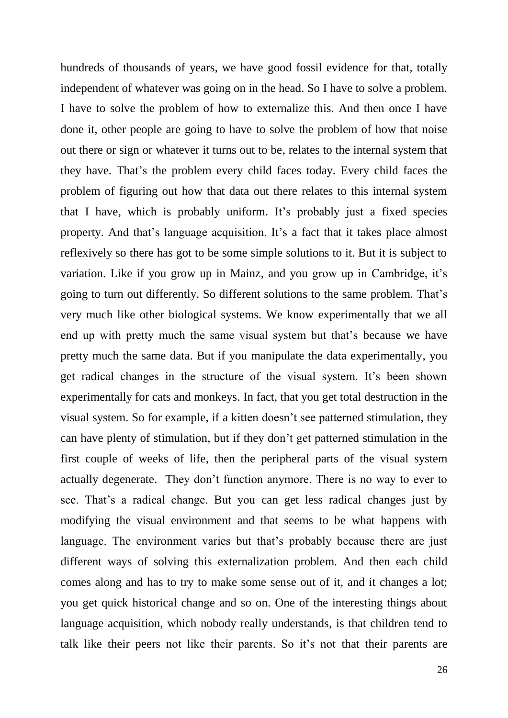hundreds of thousands of years, we have good fossil evidence for that, totally independent of whatever was going on in the head. So I have to solve a problem. I have to solve the problem of how to externalize this. And then once I have done it, other people are going to have to solve the problem of how that noise out there or sign or whatever it turns out to be, relates to the internal system that they have. That"s the problem every child faces today. Every child faces the problem of figuring out how that data out there relates to this internal system that I have, which is probably uniform. It's probably just a fixed species property. And that's language acquisition. It's a fact that it takes place almost reflexively so there has got to be some simple solutions to it. But it is subject to variation. Like if you grow up in Mainz, and you grow up in Cambridge, it's going to turn out differently. So different solutions to the same problem. That"s very much like other biological systems. We know experimentally that we all end up with pretty much the same visual system but that's because we have pretty much the same data. But if you manipulate the data experimentally, you get radical changes in the structure of the visual system. It's been shown experimentally for cats and monkeys. In fact, that you get total destruction in the visual system. So for example, if a kitten doesn"t see patterned stimulation, they can have plenty of stimulation, but if they don"t get patterned stimulation in the first couple of weeks of life, then the peripheral parts of the visual system actually degenerate. They don"t function anymore. There is no way to ever to see. That"s a radical change. But you can get less radical changes just by modifying the visual environment and that seems to be what happens with language. The environment varies but that's probably because there are just different ways of solving this externalization problem. And then each child comes along and has to try to make some sense out of it, and it changes a lot; you get quick historical change and so on. One of the interesting things about language acquisition, which nobody really understands, is that children tend to talk like their peers not like their parents. So it"s not that their parents are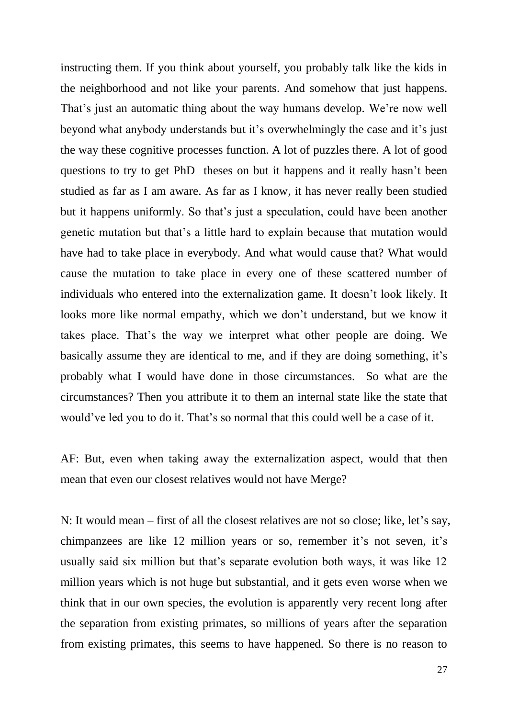instructing them. If you think about yourself, you probably talk like the kids in the neighborhood and not like your parents. And somehow that just happens. That's just an automatic thing about the way humans develop. We're now well beyond what anybody understands but it"s overwhelmingly the case and it"s just the way these cognitive processes function. A lot of puzzles there. A lot of good questions to try to get PhD theses on but it happens and it really hasn"t been studied as far as I am aware. As far as I know, it has never really been studied but it happens uniformly. So that"s just a speculation, could have been another genetic mutation but that"s a little hard to explain because that mutation would have had to take place in everybody. And what would cause that? What would cause the mutation to take place in every one of these scattered number of individuals who entered into the externalization game. It doesn"t look likely. It looks more like normal empathy, which we don"t understand, but we know it takes place. That"s the way we interpret what other people are doing. We basically assume they are identical to me, and if they are doing something, it's probably what I would have done in those circumstances. So what are the circumstances? Then you attribute it to them an internal state like the state that would've led you to do it. That's so normal that this could well be a case of it.

AF: But, even when taking away the externalization aspect, would that then mean that even our closest relatives would not have Merge?

N: It would mean – first of all the closest relatives are not so close; like, let's say, chimpanzees are like 12 million years or so, remember it's not seven, it's usually said six million but that"s separate evolution both ways, it was like 12 million years which is not huge but substantial, and it gets even worse when we think that in our own species, the evolution is apparently very recent long after the separation from existing primates, so millions of years after the separation from existing primates, this seems to have happened. So there is no reason to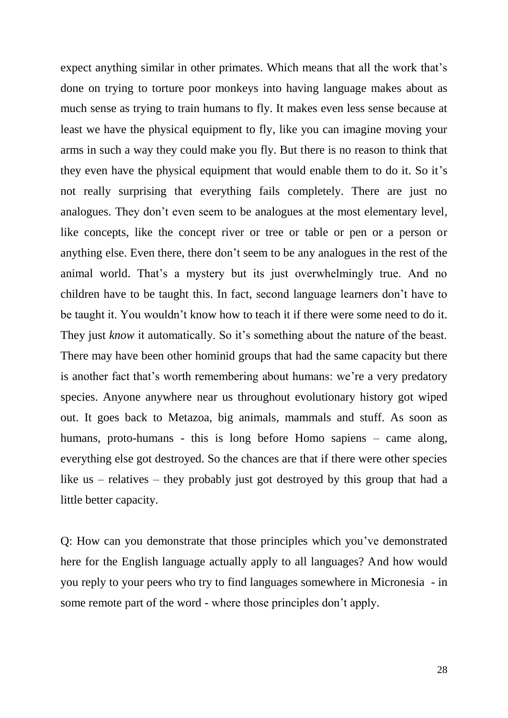expect anything similar in other primates. Which means that all the work that's done on trying to torture poor monkeys into having language makes about as much sense as trying to train humans to fly. It makes even less sense because at least we have the physical equipment to fly, like you can imagine moving your arms in such a way they could make you fly. But there is no reason to think that they even have the physical equipment that would enable them to do it. So it's not really surprising that everything fails completely. There are just no analogues. They don"t even seem to be analogues at the most elementary level, like concepts, like the concept river or tree or table or pen or a person or anything else. Even there, there don"t seem to be any analogues in the rest of the animal world. That's a mystery but its just overwhelmingly true. And no children have to be taught this. In fact, second language learners don"t have to be taught it. You wouldn"t know how to teach it if there were some need to do it. They just *know* it automatically. So it's something about the nature of the beast. There may have been other hominid groups that had the same capacity but there is another fact that's worth remembering about humans: we're a very predatory species. Anyone anywhere near us throughout evolutionary history got wiped out. It goes back to Metazoa, big animals, mammals and stuff. As soon as humans, proto-humans - this is long before Homo sapiens – came along, everything else got destroyed. So the chances are that if there were other species like us – relatives – they probably just got destroyed by this group that had a little better capacity.

Q: How can you demonstrate that those principles which you"ve demonstrated here for the English language actually apply to all languages? And how would you reply to your peers who try to find languages somewhere in Micronesia - in some remote part of the word - where those principles don't apply.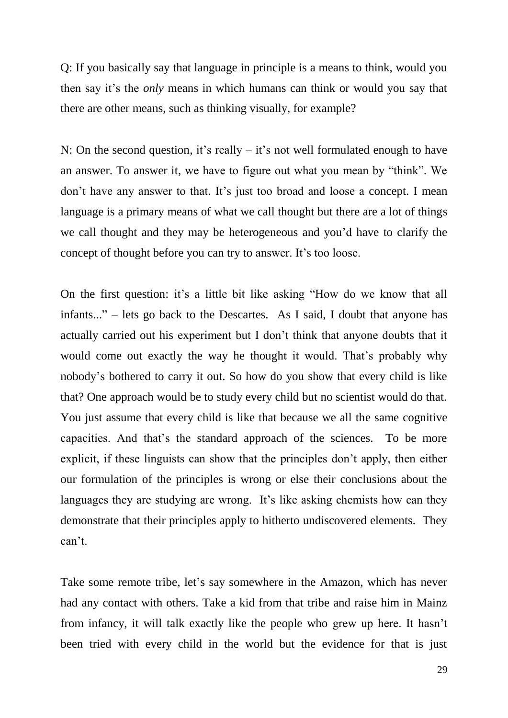Q: If you basically say that language in principle is a means to think, would you then say it"s the *only* means in which humans can think or would you say that there are other means, such as thinking visually, for example?

N: On the second question, it's really  $-$  it's not well formulated enough to have an answer. To answer it, we have to figure out what you mean by "think". We don"t have any answer to that. It"s just too broad and loose a concept. I mean language is a primary means of what we call thought but there are a lot of things we call thought and they may be heterogeneous and you"d have to clarify the concept of thought before you can try to answer. It's too loose.

On the first question: it's a little bit like asking "How do we know that all infants..." – lets go back to the Descartes. As I said, I doubt that anyone has actually carried out his experiment but I don"t think that anyone doubts that it would come out exactly the way he thought it would. That"s probably why nobody"s bothered to carry it out. So how do you show that every child is like that? One approach would be to study every child but no scientist would do that. You just assume that every child is like that because we all the same cognitive capacities. And that"s the standard approach of the sciences. To be more explicit, if these linguists can show that the principles don"t apply, then either our formulation of the principles is wrong or else their conclusions about the languages they are studying are wrong. It's like asking chemists how can they demonstrate that their principles apply to hitherto undiscovered elements. They can"t.

Take some remote tribe, let's say somewhere in the Amazon, which has never had any contact with others. Take a kid from that tribe and raise him in Mainz from infancy, it will talk exactly like the people who grew up here. It hasn"t been tried with every child in the world but the evidence for that is just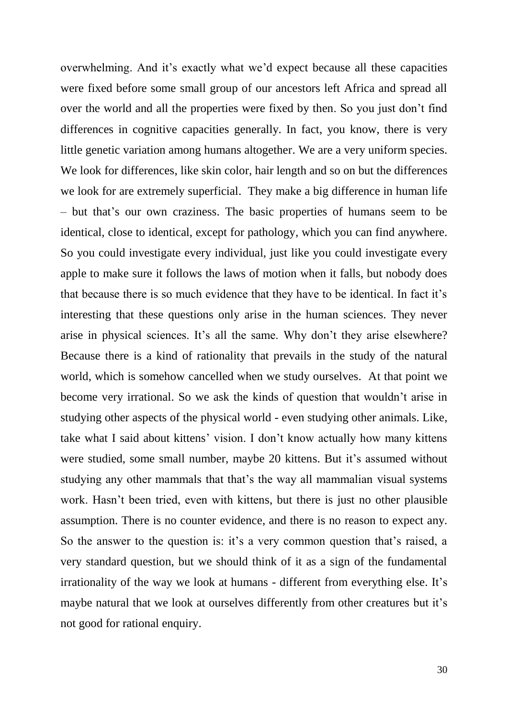overwhelming. And it's exactly what we'd expect because all these capacities were fixed before some small group of our ancestors left Africa and spread all over the world and all the properties were fixed by then. So you just don"t find differences in cognitive capacities generally. In fact, you know, there is very little genetic variation among humans altogether. We are a very uniform species. We look for differences, like skin color, hair length and so on but the differences we look for are extremely superficial. They make a big difference in human life – but that"s our own craziness. The basic properties of humans seem to be identical, close to identical, except for pathology, which you can find anywhere. So you could investigate every individual, just like you could investigate every apple to make sure it follows the laws of motion when it falls, but nobody does that because there is so much evidence that they have to be identical. In fact it's interesting that these questions only arise in the human sciences. They never arise in physical sciences. It's all the same. Why don't they arise elsewhere? Because there is a kind of rationality that prevails in the study of the natural world, which is somehow cancelled when we study ourselves. At that point we become very irrational. So we ask the kinds of question that wouldn"t arise in studying other aspects of the physical world - even studying other animals. Like, take what I said about kittens' vision. I don't know actually how many kittens were studied, some small number, maybe 20 kittens. But it's assumed without studying any other mammals that that"s the way all mammalian visual systems work. Hasn't been tried, even with kittens, but there is just no other plausible assumption. There is no counter evidence, and there is no reason to expect any. So the answer to the question is: it's a very common question that's raised, a very standard question, but we should think of it as a sign of the fundamental irrationality of the way we look at humans - different from everything else. It's maybe natural that we look at ourselves differently from other creatures but it's not good for rational enquiry.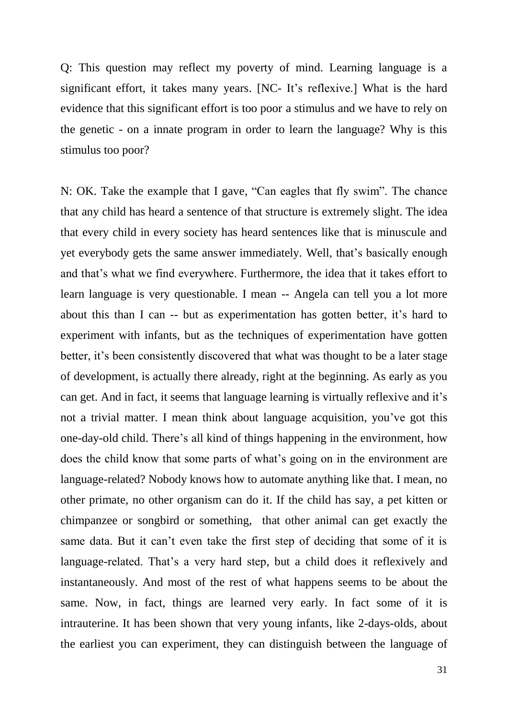Q: This question may reflect my poverty of mind. Learning language is a significant effort, it takes many years. [NC- It's reflexive.] What is the hard evidence that this significant effort is too poor a stimulus and we have to rely on the genetic - on a innate program in order to learn the language? Why is this stimulus too poor?

N: OK. Take the example that I gave, "Can eagles that fly swim". The chance that any child has heard a sentence of that structure is extremely slight. The idea that every child in every society has heard sentences like that is minuscule and yet everybody gets the same answer immediately. Well, that"s basically enough and that"s what we find everywhere. Furthermore, the idea that it takes effort to learn language is very questionable. I mean -- Angela can tell you a lot more about this than I can -- but as experimentation has gotten better, it's hard to experiment with infants, but as the techniques of experimentation have gotten better, it's been consistently discovered that what was thought to be a later stage of development, is actually there already, right at the beginning. As early as you can get. And in fact, it seems that language learning is virtually reflexive and it's not a trivial matter. I mean think about language acquisition, you"ve got this one-day-old child. There"s all kind of things happening in the environment, how does the child know that some parts of what"s going on in the environment are language-related? Nobody knows how to automate anything like that. I mean, no other primate, no other organism can do it. If the child has say, a pet kitten or chimpanzee or songbird or something, that other animal can get exactly the same data. But it can't even take the first step of deciding that some of it is language-related. That's a very hard step, but a child does it reflexively and instantaneously. And most of the rest of what happens seems to be about the same. Now, in fact, things are learned very early. In fact some of it is intrauterine. It has been shown that very young infants, like 2-days-olds, about the earliest you can experiment, they can distinguish between the language of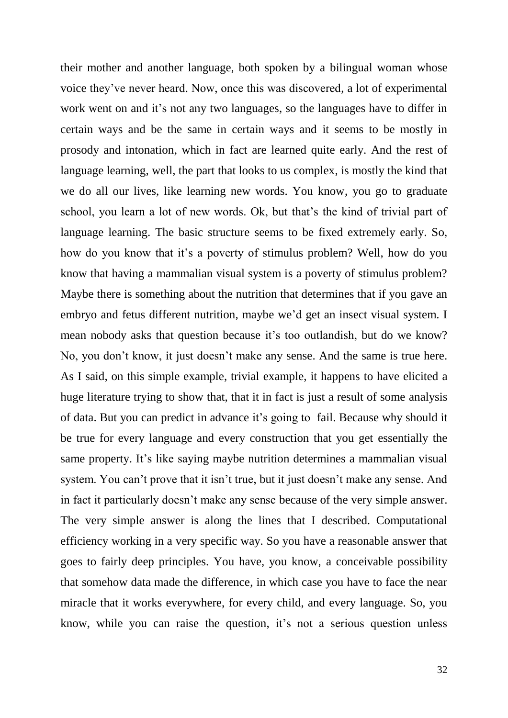their mother and another language, both spoken by a bilingual woman whose voice they"ve never heard. Now, once this was discovered, a lot of experimental work went on and it's not any two languages, so the languages have to differ in certain ways and be the same in certain ways and it seems to be mostly in prosody and intonation, which in fact are learned quite early. And the rest of language learning, well, the part that looks to us complex, is mostly the kind that we do all our lives, like learning new words. You know, you go to graduate school, you learn a lot of new words. Ok, but that's the kind of trivial part of language learning. The basic structure seems to be fixed extremely early. So, how do you know that it's a poverty of stimulus problem? Well, how do you know that having a mammalian visual system is a poverty of stimulus problem? Maybe there is something about the nutrition that determines that if you gave an embryo and fetus different nutrition, maybe we'd get an insect visual system. I mean nobody asks that question because it's too outlandish, but do we know? No, you don"t know, it just doesn"t make any sense. And the same is true here. As I said, on this simple example, trivial example, it happens to have elicited a huge literature trying to show that, that it in fact is just a result of some analysis of data. But you can predict in advance it"s going to fail. Because why should it be true for every language and every construction that you get essentially the same property. It's like saying maybe nutrition determines a mammalian visual system. You can't prove that it isn't true, but it just doesn't make any sense. And in fact it particularly doesn"t make any sense because of the very simple answer. The very simple answer is along the lines that I described. Computational efficiency working in a very specific way. So you have a reasonable answer that goes to fairly deep principles. You have, you know, a conceivable possibility that somehow data made the difference, in which case you have to face the near miracle that it works everywhere, for every child, and every language. So, you know, while you can raise the question, it's not a serious question unless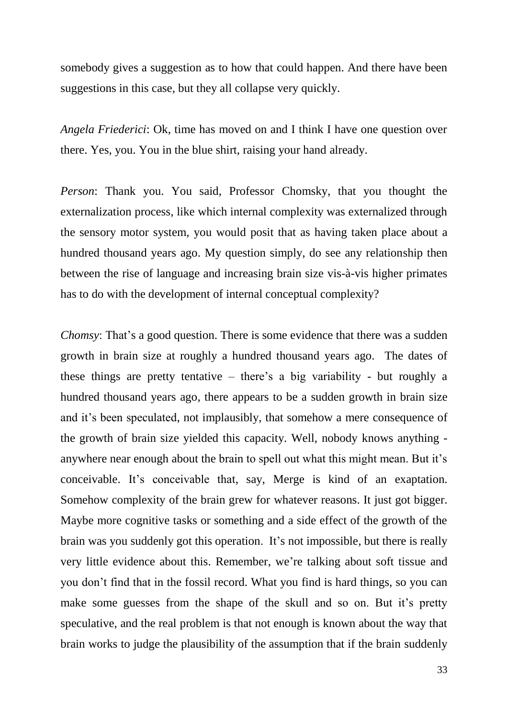somebody gives a suggestion as to how that could happen. And there have been suggestions in this case, but they all collapse very quickly.

*Angela Friederici*: Ok, time has moved on and I think I have one question over there. Yes, you. You in the blue shirt, raising your hand already.

*Person*: Thank you. You said, Professor Chomsky, that you thought the externalization process, like which internal complexity was externalized through the sensory motor system, you would posit that as having taken place about a hundred thousand years ago. My question simply, do see any relationship then between the rise of language and increasing brain size vis-à-vis higher primates has to do with the development of internal conceptual complexity?

*Chomsy*: That's a good question. There is some evidence that there was a sudden growth in brain size at roughly a hundred thousand years ago. The dates of these things are pretty tentative – there"s a big variability - but roughly a hundred thousand years ago, there appears to be a sudden growth in brain size and it's been speculated, not implausibly, that somehow a mere consequence of the growth of brain size yielded this capacity. Well, nobody knows anything anywhere near enough about the brain to spell out what this might mean. But it's conceivable. It's conceivable that, say, Merge is kind of an exaptation. Somehow complexity of the brain grew for whatever reasons. It just got bigger. Maybe more cognitive tasks or something and a side effect of the growth of the brain was you suddenly got this operation. It's not impossible, but there is really very little evidence about this. Remember, we"re talking about soft tissue and you don"t find that in the fossil record. What you find is hard things, so you can make some guesses from the shape of the skull and so on. But it's pretty speculative, and the real problem is that not enough is known about the way that brain works to judge the plausibility of the assumption that if the brain suddenly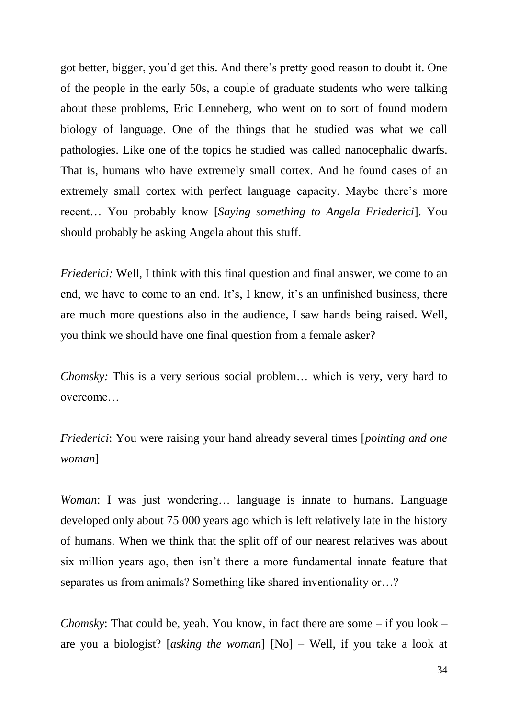got better, bigger, you"d get this. And there"s pretty good reason to doubt it. One of the people in the early 50s, a couple of graduate students who were talking about these problems, Eric Lenneberg, who went on to sort of found modern biology of language. One of the things that he studied was what we call pathologies. Like one of the topics he studied was called nanocephalic dwarfs. That is, humans who have extremely small cortex. And he found cases of an extremely small cortex with perfect language capacity. Maybe there's more recent… You probably know [*Saying something to Angela Friederici*]. You should probably be asking Angela about this stuff.

*Friederici:* Well, I think with this final question and final answer, we come to an end, we have to come to an end. It's, I know, it's an unfinished business, there are much more questions also in the audience, I saw hands being raised. Well, you think we should have one final question from a female asker?

*Chomsky:* This is a very serious social problem… which is very, very hard to overcome…

*Friederici*: You were raising your hand already several times [*pointing and one woman*]

*Woman*: I was just wondering... language is innate to humans. Language developed only about 75 000 years ago which is left relatively late in the history of humans. When we think that the split off of our nearest relatives was about six million years ago, then isn"t there a more fundamental innate feature that separates us from animals? Something like shared inventionality or…?

*Chomsky*: That could be, yeah. You know, in fact there are some – if you look – are you a biologist? [*asking the woman*] [No] – Well, if you take a look at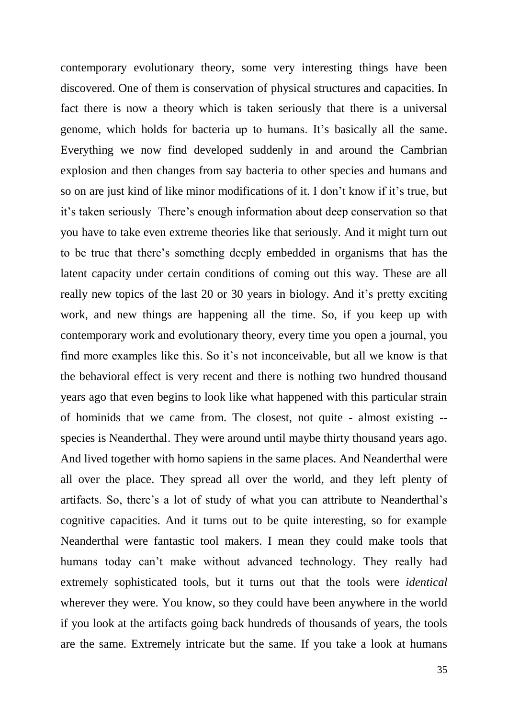contemporary evolutionary theory, some very interesting things have been discovered. One of them is conservation of physical structures and capacities. In fact there is now a theory which is taken seriously that there is a universal genome, which holds for bacteria up to humans. It's basically all the same. Everything we now find developed suddenly in and around the Cambrian explosion and then changes from say bacteria to other species and humans and so on are just kind of like minor modifications of it. I don"t know if it"s true, but it"s taken seriously There"s enough information about deep conservation so that you have to take even extreme theories like that seriously. And it might turn out to be true that there"s something deeply embedded in organisms that has the latent capacity under certain conditions of coming out this way. These are all really new topics of the last 20 or 30 years in biology. And it's pretty exciting work, and new things are happening all the time. So, if you keep up with contemporary work and evolutionary theory, every time you open a journal, you find more examples like this. So it's not inconceivable, but all we know is that the behavioral effect is very recent and there is nothing two hundred thousand years ago that even begins to look like what happened with this particular strain of hominids that we came from. The closest, not quite - almost existing - species is Neanderthal. They were around until maybe thirty thousand years ago. And lived together with homo sapiens in the same places. And Neanderthal were all over the place. They spread all over the world, and they left plenty of artifacts. So, there's a lot of study of what you can attribute to Neanderthal's cognitive capacities. And it turns out to be quite interesting, so for example Neanderthal were fantastic tool makers. I mean they could make tools that humans today can"t make without advanced technology. They really had extremely sophisticated tools, but it turns out that the tools were *identical* wherever they were. You know, so they could have been anywhere in the world if you look at the artifacts going back hundreds of thousands of years, the tools are the same. Extremely intricate but the same. If you take a look at humans